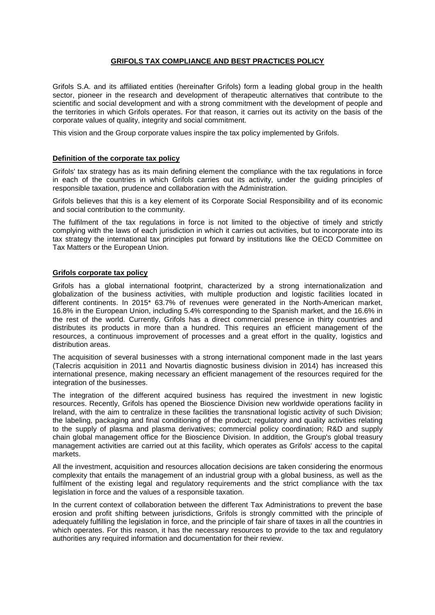## **GRIFOLS TAX COMPLIANCE AND BEST PRACTICES POLICY**

Grifols S.A. and its affiliated entities (hereinafter Grifols) form a leading global group in the health sector, pioneer in the research and development of therapeutic alternatives that contribute to the scientific and social development and with a strong commitment with the development of people and the territories in which Grifols operates. For that reason, it carries out its activity on the basis of the corporate values of quality, integrity and social commitment.

This vision and the Group corporate values inspire the tax policy implemented by Grifols.

## **Definition of the corporate tax policy**

Grifols' tax strategy has as its main defining element the compliance with the tax regulations in force in each of the countries in which Grifols carries out its activity, under the guiding principles of responsible taxation, prudence and collaboration with the Administration.

Grifols believes that this is a key element of its Corporate Social Responsibility and of its economic and social contribution to the community.

The fulfilment of the tax regulations in force is not limited to the objective of timely and strictly complying with the laws of each jurisdiction in which it carries out activities, but to incorporate into its tax strategy the international tax principles put forward by institutions like the OECD Committee on Tax Matters or the European Union.

## **Grifols corporate tax policy**

Grifols has a global international footprint, characterized by a strong internationalization and globalization of the business activities, with multiple production and logistic facilities located in different continents. In 2015\* 63.7% of revenues were generated in the North-American market, 16.8% in the European Union, including 5.4% corresponding to the Spanish market, and the 16.6% in the rest of the world. Currently, Grifols has a direct commercial presence in thirty countries and distributes its products in more than a hundred. This requires an efficient management of the resources, a continuous improvement of processes and a great effort in the quality, logistics and distribution areas.

The acquisition of several businesses with a strong international component made in the last years (Talecris acquisition in 2011 and Novartis diagnostic business division in 2014) has increased this international presence, making necessary an efficient management of the resources required for the integration of the businesses.

The integration of the different acquired business has required the investment in new logistic resources. Recently, Grifols has opened the Bioscience Division new worldwide operations facility in Ireland, with the aim to centralize in these facilities the transnational logistic activity of such Division; the labeling, packaging and final conditioning of the product; regulatory and quality activities relating to the supply of plasma and plasma derivatives; commercial policy coordination; R&D and supply chain global management office for the Bioscience Division. In addition, the Group's global treasury management activities are carried out at this facility, which operates as Grifols' access to the capital markets.

All the investment, acquisition and resources allocation decisions are taken considering the enormous complexity that entails the management of an industrial group with a global business, as well as the fulfilment of the existing legal and regulatory requirements and the strict compliance with the tax legislation in force and the values of a responsible taxation.

In the current context of collaboration between the different Tax Administrations to prevent the base erosion and profit shifting between jurisdictions, Grifols is strongly committed with the principle of adequately fulfilling the legislation in force, and the principle of fair share of taxes in all the countries in which operates. For this reason, it has the necessary resources to provide to the tax and regulatory authorities any required information and documentation for their review.